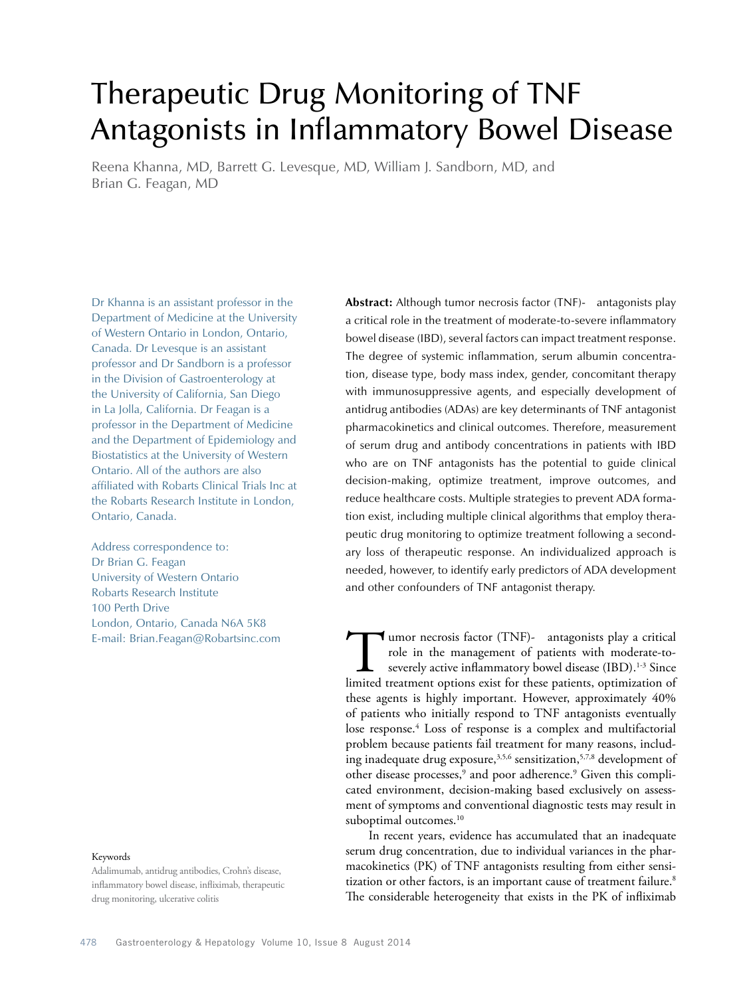# Therapeutic Drug Monitoring of TNF Antagonists in Inflammatory Bowel Disease

Reena Khanna, MD, Barrett G. Levesque, MD, William J. Sandborn, MD, and Brian G. Feagan, MD

Dr Khanna is an assistant professor in the Department of Medicine at the University of Western Ontario in London, Ontario, Canada. Dr Levesque is an assistant professor and Dr Sandborn is a professor in the Division of Gastroenterology at the University of California, San Diego in La Jolla, California. Dr Feagan is a professor in the Department of Medicine and the Department of Epidemiology and Biostatistics at the University of Western Ontario. All of the authors are also affiliated with Robarts Clinical Trials Inc at the Robarts Research Institute in London, Ontario, Canada.

Address correspondence to: Dr Brian G. Feagan University of Western Ontario Robarts Research Institute 100 Perth Drive London, Ontario, Canada N6A 5K8 E-mail: Brian.Feagan@Robartsinc.com

## Keywords

Adalimumab, antidrug antibodies, Crohn's disease, inflammatory bowel disease, infliximab, therapeutic drug monitoring, ulcerative colitis

**Abstract:** Although tumor necrosis factor (TNF)-α antagonists play a critical role in the treatment of moderate-to-severe inflammatory bowel disease (IBD), several factors can impact treatment response. The degree of systemic inflammation, serum albumin concentration, disease type, body mass index, gender, concomitant therapy with immunosuppressive agents, and especially development of antidrug antibodies (ADAs) are key determinants of TNF antagonist pharmacokinetics and clinical outcomes. Therefore, measurement of serum drug and antibody concentrations in patients with IBD who are on TNF antagonists has the potential to guide clinical decision-making, optimize treatment, improve outcomes, and reduce healthcare costs. Multiple strategies to prevent ADA formation exist, including multiple clinical algorithms that employ therapeutic drug monitoring to optimize treatment following a secondary loss of therapeutic response. An individualized approach is needed, however, to identify early predictors of ADA development and other confounders of TNF antagonist therapy.

 $\blacktriangleleft$  umor necrosis factor (TNF)- $\alpha$  antagonists play a critical role in the management of patients with moderate-toseverely active inflammatory bowel disease (IBD).<sup>1-3</sup> Since limited treatment options exist for these patients, optimization of these agents is highly important. However, approximately 40% of patients who initially respond to TNF antagonists eventually lose response.<sup>4</sup> Loss of response is a complex and multifactorial problem because patients fail treatment for many reasons, including inadequate drug exposure,<sup>3,5,6</sup> sensitization,<sup>5,7,8</sup> development of other disease processes,<sup>9</sup> and poor adherence.<sup>9</sup> Given this complicated environment, decision-making based exclusively on assessment of symptoms and conventional diagnostic tests may result in suboptimal outcomes.<sup>10</sup>

In recent years, evidence has accumulated that an inadequate serum drug concentration, due to individual variances in the pharmacokinetics (PK) of TNF antagonists resulting from either sensitization or other factors, is an important cause of treatment failure.<sup>8</sup> The considerable heterogeneity that exists in the PK of infliximab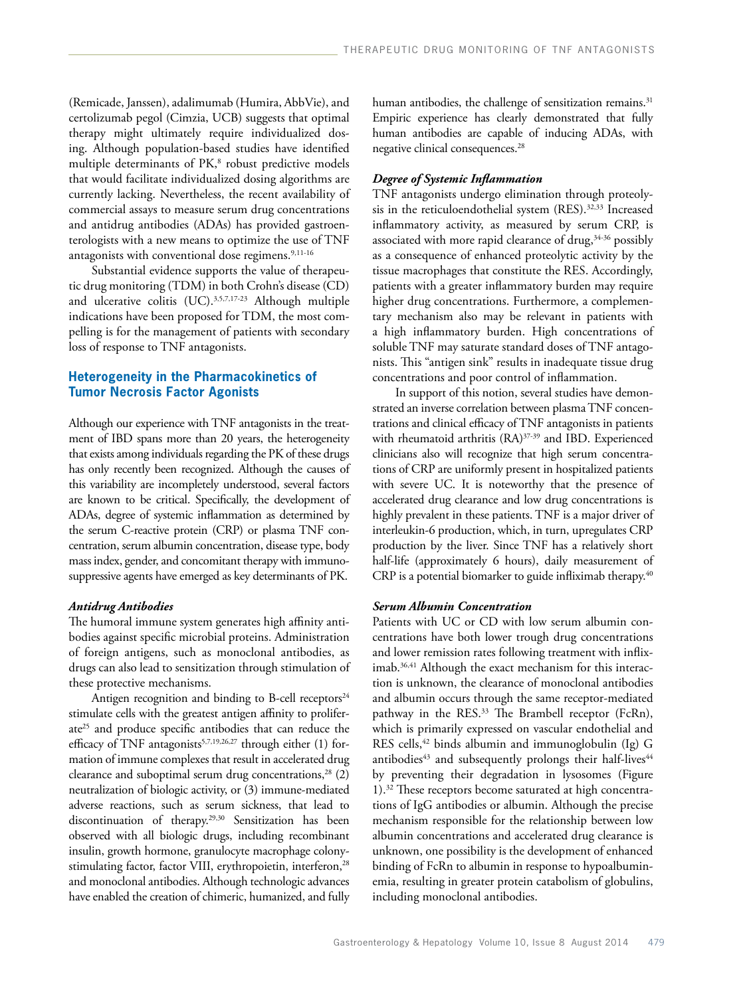(Remicade, Janssen), adalimumab (Humira, AbbVie), and certolizumab pegol (Cimzia, UCB) suggests that optimal therapy might ultimately require individualized dosing. Although population-based studies have identified multiple determinants of PK,<sup>8</sup> robust predictive models that would facilitate individualized dosing algorithms are currently lacking. Nevertheless, the recent availability of commercial assays to measure serum drug concentrations and antidrug antibodies (ADAs) has provided gastroenterologists with a new means to optimize the use of TNF antagonists with conventional dose regimens.<sup>9,11-16</sup>

Substantial evidence supports the value of therapeutic drug monitoring (TDM) in both Crohn's disease (CD) and ulcerative colitis (UC).<sup>3,5,7,17-23</sup> Although multiple indications have been proposed for TDM, the most compelling is for the management of patients with secondary loss of response to TNF antagonists.

# **Heterogeneity in the Pharmacokinetics of Tumor Necrosis Factor Agonists**

Although our experience with TNF antagonists in the treatment of IBD spans more than 20 years, the heterogeneity that exists among individuals regarding the PK of these drugs has only recently been recognized. Although the causes of this variability are incompletely understood, several factors are known to be critical. Specifically, the development of ADAs, degree of systemic inflammation as determined by the serum C-reactive protein (CRP) or plasma TNF concentration, serum albumin concentration, disease type, body mass index, gender, and concomitant therapy with immunosuppressive agents have emerged as key determinants of PK.

## *Antidrug Antibodies*

The humoral immune system generates high affinity antibodies against specific microbial proteins. Administration of foreign antigens, such as monoclonal antibodies, as drugs can also lead to sensitization through stimulation of these protective mechanisms.

Antigen recognition and binding to B-cell receptors $24$ stimulate cells with the greatest antigen affinity to proliferate25 and produce specific antibodies that can reduce the efficacy of TNF antagonists<sup>5,7,19,26,27</sup> through either (1) formation of immune complexes that result in accelerated drug clearance and suboptimal serum drug concentrations, $28$  (2) neutralization of biologic activity, or (3) immune-mediated adverse reactions, such as serum sickness, that lead to discontinuation of therapy.29,30 Sensitization has been observed with all biologic drugs, including recombinant insulin, growth hormone, granulocyte macrophage colonystimulating factor, factor VIII, erythropoietin, interferon,<sup>28</sup> and monoclonal antibodies. Although technologic advances have enabled the creation of chimeric, humanized, and fully human antibodies, the challenge of sensitization remains.<sup>31</sup> Empiric experience has clearly demonstrated that fully human antibodies are capable of inducing ADAs, with negative clinical consequences.28

## *Degree of Systemic Inflammation*

TNF antagonists undergo elimination through proteolysis in the reticuloendothelial system (RES).<sup>32,33</sup> Increased inflammatory activity, as measured by serum CRP, is associated with more rapid clearance of drug,<sup>34-36</sup> possibly as a consequence of enhanced proteolytic activity by the tissue macrophages that constitute the RES. Accordingly, patients with a greater inflammatory burden may require higher drug concentrations. Furthermore, a complementary mechanism also may be relevant in patients with a high inflammatory burden. High concentrations of soluble TNF may saturate standard doses of TNF antagonists. This "antigen sink" results in inadequate tissue drug concentrations and poor control of inflammation.

In support of this notion, several studies have demonstrated an inverse correlation between plasma TNF concentrations and clinical efficacy of TNF antagonists in patients with rheumatoid arthritis (RA)<sup>37-39</sup> and IBD. Experienced clinicians also will recognize that high serum concentrations of CRP are uniformly present in hospitalized patients with severe UC. It is noteworthy that the presence of accelerated drug clearance and low drug concentrations is highly prevalent in these patients. TNF is a major driver of interleukin-6 production, which, in turn, upregulates CRP production by the liver. Since TNF has a relatively short half-life (approximately 6 hours), daily measurement of CRP is a potential biomarker to guide infliximab therapy.<sup>40</sup>

## *Serum Albumin Concentration*

Patients with UC or CD with low serum albumin concentrations have both lower trough drug concentrations and lower remission rates following treatment with infliximab.<sup>36,41</sup> Although the exact mechanism for this interaction is unknown, the clearance of monoclonal antibodies and albumin occurs through the same receptor-mediated pathway in the RES.<sup>33</sup> The Brambell receptor (FcRn), which is primarily expressed on vascular endothelial and RES cells,<sup>42</sup> binds albumin and immunoglobulin (Ig) G antibodies<sup>43</sup> and subsequently prolongs their half-lives<sup>44</sup> by preventing their degradation in lysosomes (Figure 1).32 These receptors become saturated at high concentrations of IgG antibodies or albumin. Although the precise mechanism responsible for the relationship between low albumin concentrations and accelerated drug clearance is unknown, one possibility is the development of enhanced binding of FcRn to albumin in response to hypoalbuminemia, resulting in greater protein catabolism of globulins, including monoclonal antibodies.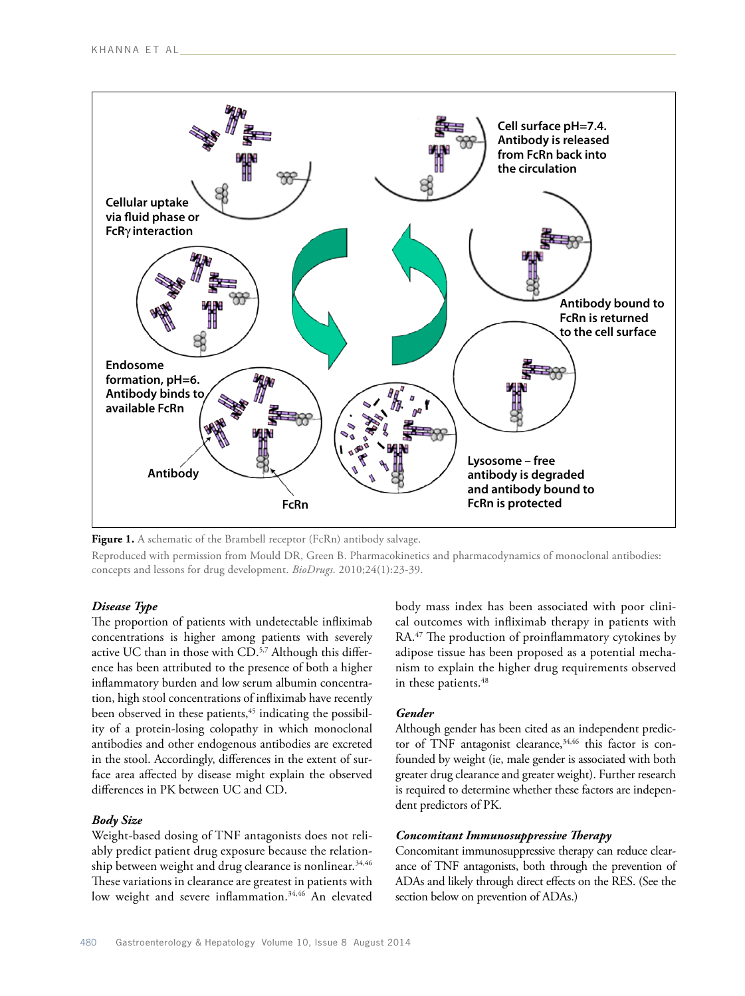

Figure 1. A schematic of the Brambell receptor (FcRn) antibody salvage.

Reproduced with permission from Mould DR, Green B. Pharmacokinetics and pharmacodynamics of monoclonal antibodies: concepts and lessons for drug development. *BioDrugs*. 2010;24(1):23-39.

## *Disease Type*

The proportion of patients with undetectable infliximab concentrations is higher among patients with severely active UC than in those with CD.<sup>5,7</sup> Although this difference has been attributed to the presence of both a higher inflammatory burden and low serum albumin concentration, high stool concentrations of infliximab have recently been observed in these patients,<sup>45</sup> indicating the possibility of a protein-losing colopathy in which monoclonal antibodies and other endogenous antibodies are excreted in the stool. Accordingly, differences in the extent of surface area affected by disease might explain the observed differences in PK between UC and CD.

#### *Body Size*

Weight-based dosing of TNF antagonists does not reliably predict patient drug exposure because the relationship between weight and drug clearance is nonlinear.<sup>34,46</sup> These variations in clearance are greatest in patients with low weight and severe inflammation.<sup>34,46</sup> An elevated body mass index has been associated with poor clinical outcomes with infliximab therapy in patients with RA.<sup>47</sup> The production of proinflammatory cytokines by adipose tissue has been proposed as a potential mechanism to explain the higher drug requirements observed in these patients.<sup>48</sup>

# *Gender*

Although gender has been cited as an independent predictor of TNF antagonist clearance,<sup>34,46</sup> this factor is confounded by weight (ie, male gender is associated with both greater drug clearance and greater weight). Further research is required to determine whether these factors are independent predictors of PK.

#### *Concomitant Immunosuppressive Therapy*

Concomitant immunosuppressive therapy can reduce clearance of TNF antagonists, both through the prevention of ADAs and likely through direct effects on the RES. (See the section below on prevention of ADAs.)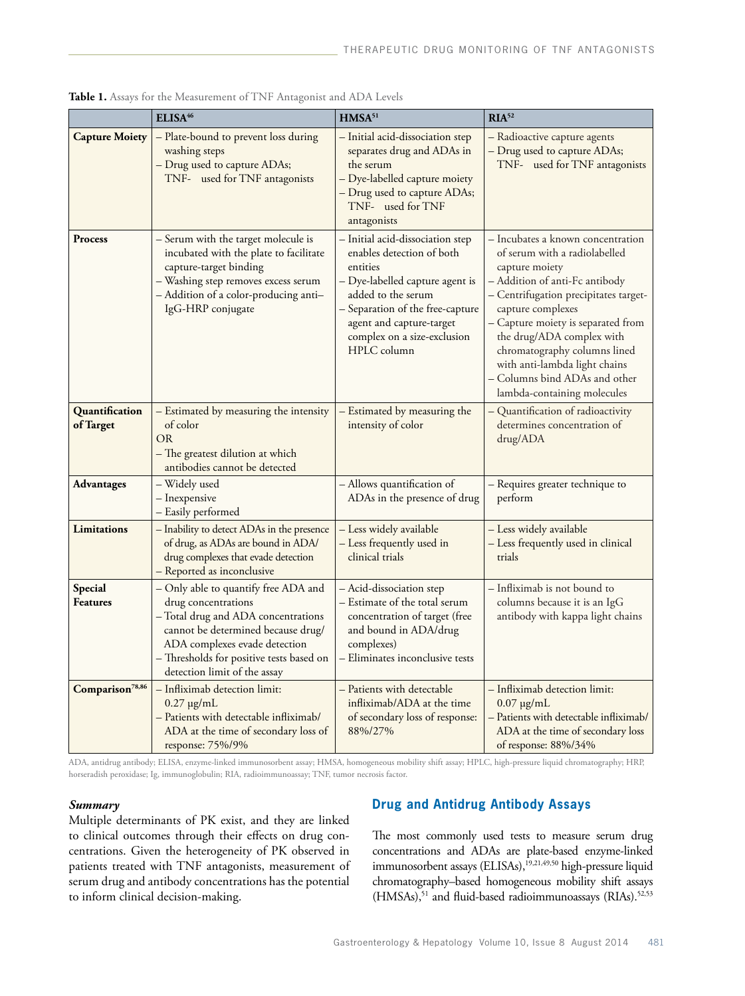|                             | ELISA <sup>46</sup>                                                                                                                                                                                                                                   | HMSA <sup>51</sup>                                                                                                                                                                                                                               | RIA <sup>52</sup>                                                                                                                                                                                                                                                                                                                                                                        |
|-----------------------------|-------------------------------------------------------------------------------------------------------------------------------------------------------------------------------------------------------------------------------------------------------|--------------------------------------------------------------------------------------------------------------------------------------------------------------------------------------------------------------------------------------------------|------------------------------------------------------------------------------------------------------------------------------------------------------------------------------------------------------------------------------------------------------------------------------------------------------------------------------------------------------------------------------------------|
| <b>Capture Moiety</b>       | - Plate-bound to prevent loss during<br>washing steps<br>- Drug used to capture ADAs;<br>$TNF-\alpha$ used for TNF antagonists                                                                                                                        | - Initial acid-dissociation step<br>separates drug and ADAs in<br>the serum<br>- Dye-labelled capture moiety<br>- Drug used to capture ADAs;<br>$TNF-\alpha$ used for $TNF$<br>antagonists                                                       | - Radioactive capture agents<br>- Drug used to capture ADAs;<br>$TNF-\alpha$ used for $TNF$ antagonists                                                                                                                                                                                                                                                                                  |
| Process                     | - Serum with the target molecule is<br>incubated with the plate to facilitate<br>capture-target binding<br>- Washing step removes excess serum<br>- Addition of a color-producing anti-<br>IgG-HRP conjugate                                          | - Initial acid-dissociation step<br>enables detection of both<br>entities<br>- Dye-labelled capture agent is<br>added to the serum<br>- Separation of the free-capture<br>agent and capture-target<br>complex on a size-exclusion<br>HPLC column | - Incubates a known concentration<br>of serum with a radiolabelled<br>capture moiety<br>– Addition of anti-Fc antibody<br>- Centrifugation precipitates target-<br>capture complexes<br>- Capture moiety is separated from<br>the drug/ADA complex with<br>chromatography columns lined<br>with anti-lambda light chains<br>- Columns bind ADAs and other<br>lambda-containing molecules |
| Quantification<br>of Target | - Estimated by measuring the intensity<br>of color<br><b>OR</b><br>– The greatest dilution at which<br>antibodies cannot be detected                                                                                                                  | - Estimated by measuring the<br>intensity of color                                                                                                                                                                                               | - Quantification of radioactivity<br>determines concentration of<br>drug/ADA                                                                                                                                                                                                                                                                                                             |
| <b>Advantages</b>           | - Widely used<br>- Inexpensive<br>- Easily performed                                                                                                                                                                                                  | - Allows quantification of<br>ADAs in the presence of drug                                                                                                                                                                                       | – Requires greater technique to<br>perform                                                                                                                                                                                                                                                                                                                                               |
| Limitations                 | - Inability to detect ADAs in the presence<br>of drug, as ADAs are bound in ADA/<br>drug complexes that evade detection<br>- Reported as inconclusive                                                                                                 | - Less widely available<br>- Less frequently used in<br>clinical trials                                                                                                                                                                          | - Less widely available<br>- Less frequently used in clinical<br>trials                                                                                                                                                                                                                                                                                                                  |
| Special<br><b>Features</b>  | - Only able to quantify free ADA and<br>drug concentrations<br>- Total drug and ADA concentrations<br>cannot be determined because drug/<br>ADA complexes evade detection<br>- Thresholds for positive tests based on<br>detection limit of the assay | - Acid-dissociation step<br>– Estimate of the total serum<br>concentration of target (free<br>and bound in ADA/drug<br>complexes)<br>- Eliminates inconclusive tests                                                                             | - Infliximab is not bound to<br>columns because it is an IgG<br>antibody with kappa light chains                                                                                                                                                                                                                                                                                         |
| Comparison <sup>78,86</sup> | - Infliximab detection limit:<br>$0.27 \mu g/mL$<br>- Patients with detectable infliximab/<br>ADA at the time of secondary loss of<br>response: 75%/9%                                                                                                | – Patients with detectable<br>infliximab/ADA at the time<br>of secondary loss of response:<br>88%/27%                                                                                                                                            | - Infliximab detection limit:<br>$0.07 \mu g/mL$<br>- Patients with detectable infliximab/<br>ADA at the time of secondary loss<br>of response: $88\%/34\%$                                                                                                                                                                                                                              |

Table 1. Assays for the Measurement of TNF Antagonist and ADA Levels

ADA, antidrug antibody; ELISA, enzyme-linked immunosorbent assay; HMSA, homogeneous mobility shift assay; HPLC, high-pressure liquid chromatography; HRP, horseradish peroxidase; Ig, immunoglobulin; RIA, radioimmunoassay; TNF, tumor necrosis factor.

## *Summary*

Multiple determinants of PK exist, and they are linked to clinical outcomes through their effects on drug concentrations. Given the heterogeneity of PK observed in patients treated with TNF antagonists, measurement of serum drug and antibody concentrations has the potential to inform clinical decision-making.

# **Drug and Antidrug Antibody Assays**

The most commonly used tests to measure serum drug concentrations and ADAs are plate-based enzyme-linked immunosorbent assays (ELISAs),<sup>19,21,49,50</sup> high-pressure liquid chromatography–based homogeneous mobility shift assays (HMSAs),<sup>51</sup> and fluid-based radioimmunoassays (RIAs).<sup>52,53</sup>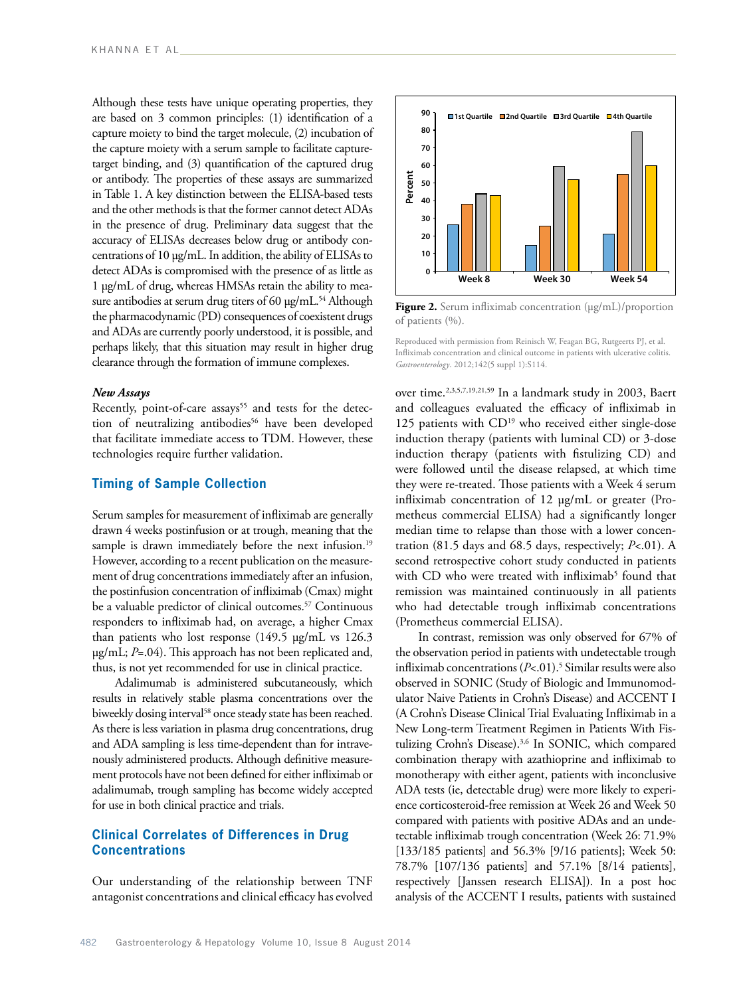Although these tests have unique operating properties, they are based on 3 common principles: (1) identification of a capture moiety to bind the target molecule, (2) incubation of the capture moiety with a serum sample to facilitate capturetarget binding, and (3) quantification of the captured drug or antibody. The properties of these assays are summarized in Table 1. A key distinction between the ELISA-based tests and the other methods is that the former cannot detect ADAs in the presence of drug. Preliminary data suggest that the accuracy of ELISAs decreases below drug or antibody concentrations of 10 µg/mL. In addition, the ability of ELISAs to detect ADAs is compromised with the presence of as little as 1 µg/mL of drug, whereas HMSAs retain the ability to measure antibodies at serum drug titers of 60  $\mu$ g/mL.<sup>54</sup> Although the pharmacodynamic (PD) consequences of coexistent drugs and ADAs are currently poorly understood, it is possible, and perhaps likely, that this situation may result in higher drug clearance through the formation of immune complexes.

#### *New Assays*

Recently, point-of-care assays<sup>55</sup> and tests for the detection of neutralizing antibodies<sup>56</sup> have been developed that facilitate immediate access to TDM. However, these technologies require further validation.

# **Timing of Sample Collection**

Serum samples for measurement of infliximab are generally drawn 4 weeks postinfusion or at trough, meaning that the sample is drawn immediately before the next infusion.<sup>19</sup> However, according to a recent publication on the measurement of drug concentrations immediately after an infusion, the postinfusion concentration of infliximab (Cmax) might be a valuable predictor of clinical outcomes.<sup>57</sup> Continuous responders to infliximab had, on average, a higher Cmax than patients who lost response (149.5 µg/mL vs 126.3 µg/mL; *P*=.04). This approach has not been replicated and, thus, is not yet recommended for use in clinical practice.

Adalimumab is administered subcutaneously, which results in relatively stable plasma concentrations over the biweekly dosing interval<sup>58</sup> once steady state has been reached. As there is less variation in plasma drug concentrations, drug and ADA sampling is less time-dependent than for intravenously administered products. Although definitive measurement protocols have not been defined for either infliximab or adalimumab, trough sampling has become widely accepted for use in both clinical practice and trials.

# **Clinical Correlates of Differences in Drug Concentrations**

Our understanding of the relationship between TNF antagonist concentrations and clinical efficacy has evolved



**Figure 2.** Serum infliximab concentration (μg/mL)/proportion of patients (%).

Reproduced with permission from Reinisch W, Feagan BG, Rutgeerts PJ, et al. Infliximab concentration and clinical outcome in patients with ulcerative colitis. *Gastroenterology*. 2012;142(5 suppl 1):S114.

over time.2,3,5,7,19,21,59 In a landmark study in 2003, Baert and colleagues evaluated the efficacy of infliximab in 125 patients with CD<sup>19</sup> who received either single-dose induction therapy (patients with luminal CD) or 3-dose induction therapy (patients with fistulizing CD) and were followed until the disease relapsed, at which time they were re-treated. Those patients with a Week 4 serum infliximab concentration of 12 µg/mL or greater (Prometheus commercial ELISA) had a significantly longer median time to relapse than those with a lower concentration (81.5 days and 68.5 days, respectively; *P*<.01). A second retrospective cohort study conducted in patients with CD who were treated with infliximab<sup>5</sup> found that remission was maintained continuously in all patients who had detectable trough infliximab concentrations (Prometheus commercial ELISA).

In contrast, remission was only observed for 67% of the observation period in patients with undetectable trough infliximab concentrations (*P*<.01).5 Similar results were also observed in SONIC (Study of Biologic and Immunomodulator Naive Patients in Crohn's Disease) and ACCENT I (A Crohn's Disease Clinical Trial Evaluating Infliximab in a New Long-term Treatment Regimen in Patients With Fistulizing Crohn's Disease).3,6 In SONIC, which compared combination therapy with azathioprine and infliximab to monotherapy with either agent, patients with inconclusive ADA tests (ie, detectable drug) were more likely to experience corticosteroid-free remission at Week 26 and Week 50 compared with patients with positive ADAs and an undetectable infliximab trough concentration (Week 26: 71.9% [133/185 patients] and 56.3% [9/16 patients]; Week 50: 78.7% [107/136 patients] and 57.1% [8/14 patients], respectively [Janssen research ELISA]). In a post hoc analysis of the ACCENT I results, patients with sustained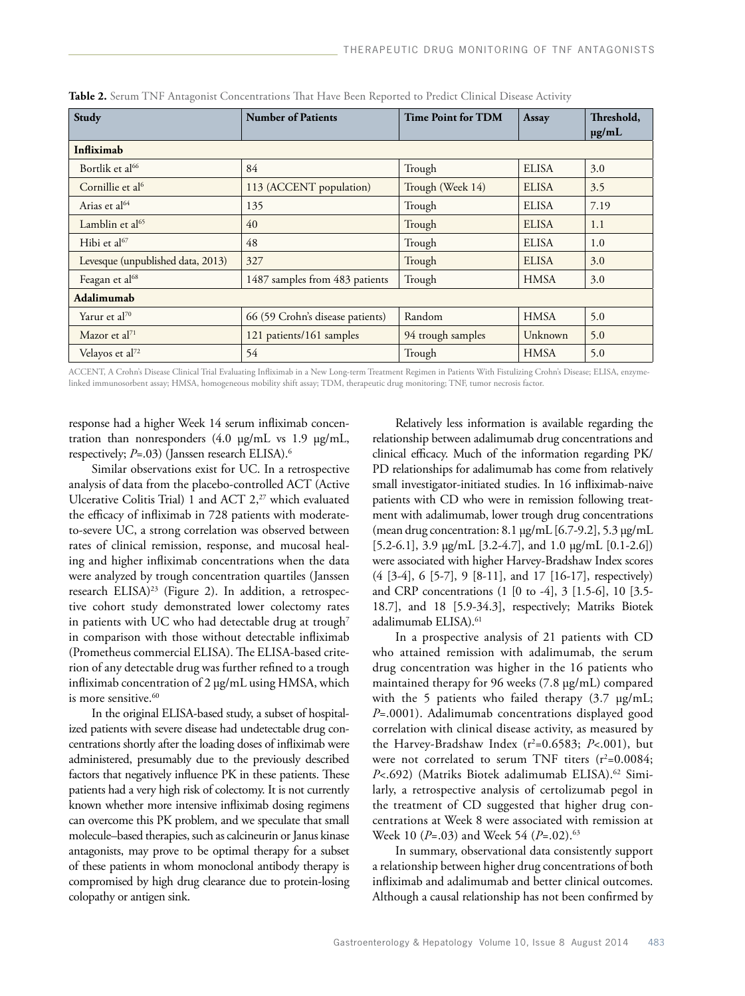| Study                             | <b>Number of Patients</b>        | <b>Time Point for TDM</b> | Assay        | Threshold,<br>$\mu$ g/mL |  |  |  |
|-----------------------------------|----------------------------------|---------------------------|--------------|--------------------------|--|--|--|
| Infliximab                        |                                  |                           |              |                          |  |  |  |
| Bortlik et al <sup>66</sup>       | 84                               | Trough                    | <b>ELISA</b> | 3.0                      |  |  |  |
| Cornillie et al <sup>6</sup>      | 113 (ACCENT population)          | Trough (Week 14)          | <b>ELISA</b> | 3.5                      |  |  |  |
| Arias et al <sup>64</sup>         | 135                              | Trough                    | <b>ELISA</b> | 7.19                     |  |  |  |
| Lamblin et al <sup>65</sup>       | 40                               | Trough                    | <b>ELISA</b> | 1.1                      |  |  |  |
| Hibi et al $67$                   | 48                               | Trough                    | <b>ELISA</b> | 1.0                      |  |  |  |
| Levesque (unpublished data, 2013) | 327                              | Trough                    | <b>ELISA</b> | 3.0                      |  |  |  |
| Feagan et al <sup>68</sup>        | 1487 samples from 483 patients   | Trough                    | <b>HMSA</b>  | 3.0                      |  |  |  |
| Adalimumab                        |                                  |                           |              |                          |  |  |  |
| Yarur et al <sup>70</sup>         | 66 (59 Crohn's disease patients) | Random                    | <b>HMSA</b>  | 5.0                      |  |  |  |
| Mazor et al <sup>71</sup>         | 121 patients/161 samples         | 94 trough samples         | Unknown      | 5.0                      |  |  |  |
| Velayos et al <sup>72</sup>       | 54                               | Trough                    | <b>HMSA</b>  | 5.0                      |  |  |  |

**Table 2.** Serum TNF Antagonist Concentrations That Have Been Reported to Predict Clinical Disease Activity

ACCENT, A Crohn's Disease Clinical Trial Evaluating Infliximab in a New Long-term Treatment Regimen in Patients With Fistulizing Crohn's Disease; ELISA, enzymelinked immunosorbent assay; HMSA, homogeneous mobility shift assay; TDM, therapeutic drug monitoring; TNF, tumor necrosis factor.

response had a higher Week 14 serum infliximab concentration than nonresponders (4.0 μg/mL vs 1.9 μg/mL, respectively; *P*=.03) (Janssen research ELISA).<sup>6</sup>

Similar observations exist for UC. In a retrospective analysis of data from the placebo-controlled ACT (Active Ulcerative Colitis Trial) 1 and ACT 2,<sup>27</sup> which evaluated the efficacy of infliximab in 728 patients with moderateto-severe UC, a strong correlation was observed between rates of clinical remission, response, and mucosal healing and higher infliximab concentrations when the data were analyzed by trough concentration quartiles (Janssen research ELISA)<sup>23</sup> (Figure 2). In addition, a retrospective cohort study demonstrated lower colectomy rates in patients with UC who had detectable drug at trough<sup>7</sup> in comparison with those without detectable infliximab (Prometheus commercial ELISA). The ELISA-based criterion of any detectable drug was further refined to a trough infliximab concentration of 2 µg/mL using HMSA, which is more sensitive.<sup>60</sup>

In the original ELISA-based study, a subset of hospitalized patients with severe disease had undetectable drug concentrations shortly after the loading doses of infliximab were administered, presumably due to the previously described factors that negatively influence PK in these patients. These patients had a very high risk of colectomy. It is not currently known whether more intensive infliximab dosing regimens can overcome this PK problem, and we speculate that small molecule–based therapies, such as calcineurin or Janus kinase antagonists, may prove to be optimal therapy for a subset of these patients in whom monoclonal antibody therapy is compromised by high drug clearance due to protein-losing colopathy or antigen sink.

Relatively less information is available regarding the relationship between adalimumab drug concentrations and clinical efficacy. Much of the information regarding PK/ PD relationships for adalimumab has come from relatively small investigator-initiated studies. In 16 infliximab-naive patients with CD who were in remission following treatment with adalimumab, lower trough drug concentrations (mean drug concentration: 8.1 µg/mL [6.7-9.2], 5.3 µg/mL [5.2-6.1], 3.9 µg/mL [3.2-4.7], and 1.0 µg/mL [0.1-2.6]) were associated with higher Harvey-Bradshaw Index scores (4 [3-4], 6 [5-7], 9 [8-11], and 17 [16-17], respectively) and CRP concentrations (1 [0 to -4], 3 [1.5-6], 10 [3.5- 18.7], and 18 [5.9-34.3], respectively; Matriks Biotek adalimumab ELISA).<sup>61</sup>

In a prospective analysis of 21 patients with CD who attained remission with adalimumab, the serum drug concentration was higher in the 16 patients who maintained therapy for 96 weeks (7.8 µg/mL) compared with the 5 patients who failed therapy  $(3.7 \text{ µg/mL})$ ; *P*=.0001). Adalimumab concentrations displayed good correlation with clinical disease activity, as measured by the Harvey-Bradshaw Index (r<sup>2</sup>=0.6583; *P<*.001), but were not correlated to serum TNF titers  $(r^2=0.0084;$ P<.692) (Matriks Biotek adalimumab ELISA).<sup>62</sup> Similarly, a retrospective analysis of certolizumab pegol in the treatment of CD suggested that higher drug concentrations at Week 8 were associated with remission at Week 10 (*P*=.03) and Week 54 (*P*=.02).63

In summary, observational data consistently support a relationship between higher drug concentrations of both infliximab and adalimumab and better clinical outcomes. Although a causal relationship has not been confirmed by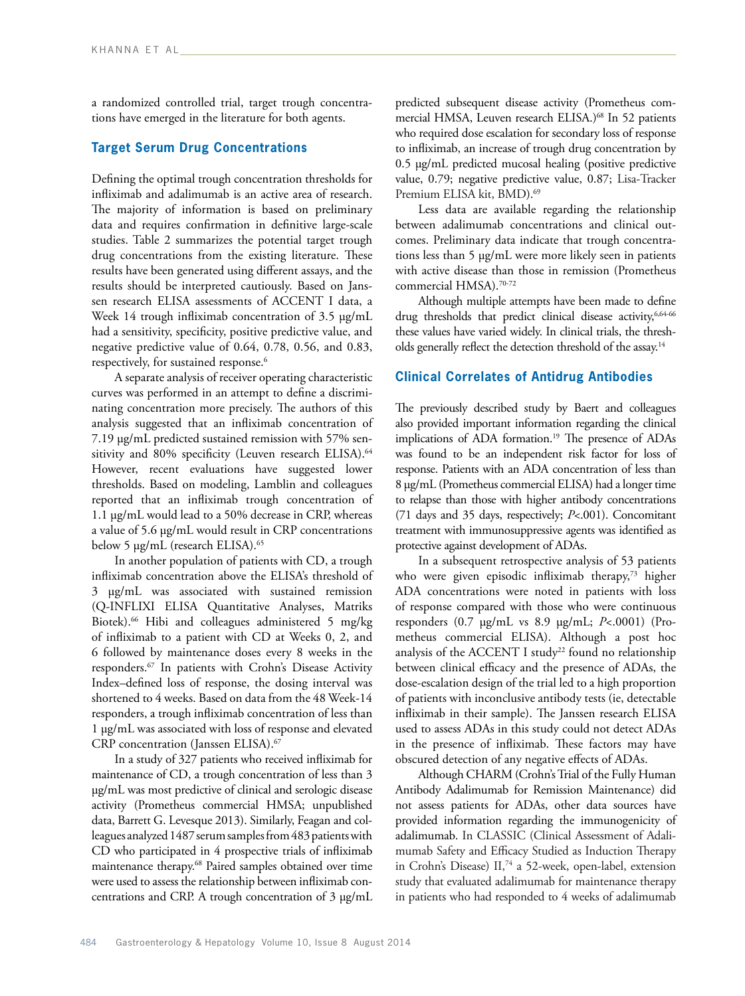a randomized controlled trial, target trough concentrations have emerged in the literature for both agents.

# **Target Serum Drug Concentrations**

Defining the optimal trough concentration thresholds for infliximab and adalimumab is an active area of research. The majority of information is based on preliminary data and requires confirmation in definitive large-scale studies. Table 2 summarizes the potential target trough drug concentrations from the existing literature. These results have been generated using different assays, and the results should be interpreted cautiously. Based on Janssen research ELISA assessments of ACCENT I data, a Week 14 trough infliximab concentration of 3.5 µg/mL had a sensitivity, specificity, positive predictive value, and negative predictive value of 0.64, 0.78, 0.56, and 0.83, respectively, for sustained response.<sup>6</sup>

A separate analysis of receiver operating characteristic curves was performed in an attempt to define a discriminating concentration more precisely. The authors of this analysis suggested that an infliximab concentration of 7.19 µg/mL predicted sustained remission with 57% sensitivity and 80% specificity (Leuven research ELISA).<sup>64</sup> However, recent evaluations have suggested lower thresholds. Based on modeling, Lamblin and colleagues reported that an infliximab trough concentration of 1.1 µg/mL would lead to a 50% decrease in CRP, whereas a value of 5.6 µg/mL would result in CRP concentrations below 5 µg/mL (research ELISA).<sup>65</sup>

In another population of patients with CD, a trough infliximab concentration above the ELISA's threshold of 3 µg/mL was associated with sustained remission (Q-INFLIXI ELISA Quantitative Analyses, Matriks Biotek).66 Hibi and colleagues administered 5 mg/kg of infliximab to a patient with CD at Weeks 0, 2, and 6 followed by maintenance doses every 8 weeks in the responders.67 In patients with Crohn's Disease Activity Index–defined loss of response, the dosing interval was shortened to 4 weeks. Based on data from the 48 Week-14 responders, a trough infliximab concentration of less than 1 µg/mL was associated with loss of response and elevated CRP concentration (Janssen ELISA).67

In a study of 327 patients who received infliximab for maintenance of CD, a trough concentration of less than 3 µg/mL was most predictive of clinical and serologic disease activity (Prometheus commercial HMSA; unpublished data, Barrett G. Levesque 2013). Similarly, Feagan and colleagues analyzed 1487 serum samples from 483 patients with CD who participated in 4 prospective trials of infliximab maintenance therapy.<sup>68</sup> Paired samples obtained over time were used to assess the relationship between infliximab concentrations and CRP. A trough concentration of 3 µg/mL

predicted subsequent disease activity (Prometheus commercial HMSA, Leuven research ELISA.)<sup>68</sup> In 52 patients who required dose escalation for secondary loss of response to infliximab, an increase of trough drug concentration by 0.5 µg/mL predicted mucosal healing (positive predictive value, 0.79; negative predictive value, 0.87; Lisa-Tracker Premium ELISA kit, BMD).<sup>69</sup>

Less data are available regarding the relationship between adalimumab concentrations and clinical outcomes. Preliminary data indicate that trough concentrations less than 5 µg/mL were more likely seen in patients with active disease than those in remission (Prometheus commercial HMSA).<sup>70-72</sup>

Although multiple attempts have been made to define drug thresholds that predict clinical disease activity, 6,64-66 these values have varied widely. In clinical trials, the thresholds generally reflect the detection threshold of the assay.<sup>14</sup>

# **Clinical Correlates of Antidrug Antibodies**

The previously described study by Baert and colleagues also provided important information regarding the clinical implications of ADA formation.<sup>19</sup> The presence of ADAs was found to be an independent risk factor for loss of response. Patients with an ADA concentration of less than 8 µg/mL (Prometheus commercial ELISA) had a longer time to relapse than those with higher antibody concentrations (71 days and 35 days, respectively; *P*<.001). Concomitant treatment with immunosuppressive agents was identified as protective against development of ADAs.

In a subsequent retrospective analysis of 53 patients who were given episodic infliximab therapy,<sup>73</sup> higher ADA concentrations were noted in patients with loss of response compared with those who were continuous responders (0.7 µg/mL vs 8.9 µg/mL; *P*<.0001) (Prometheus commercial ELISA). Although a post hoc analysis of the ACCENT I study<sup>22</sup> found no relationship between clinical efficacy and the presence of ADAs, the dose-escalation design of the trial led to a high proportion of patients with inconclusive antibody tests (ie, detectable infliximab in their sample). The Janssen research ELISA used to assess ADAs in this study could not detect ADAs in the presence of infliximab. These factors may have obscured detection of any negative effects of ADAs.

Although CHARM (Crohn's Trial of the Fully Human Antibody Adalimumab for Remission Maintenance) did not assess patients for ADAs, other data sources have provided information regarding the immunogenicity of adalimumab. In CLASSIC (Clinical Assessment of Adalimumab Safety and Efficacy Studied as Induction Therapy in Crohn's Disease)  $II^{74}$  a 52-week, open-label, extension study that evaluated adalimumab for maintenance therapy in patients who had responded to 4 weeks of adalimumab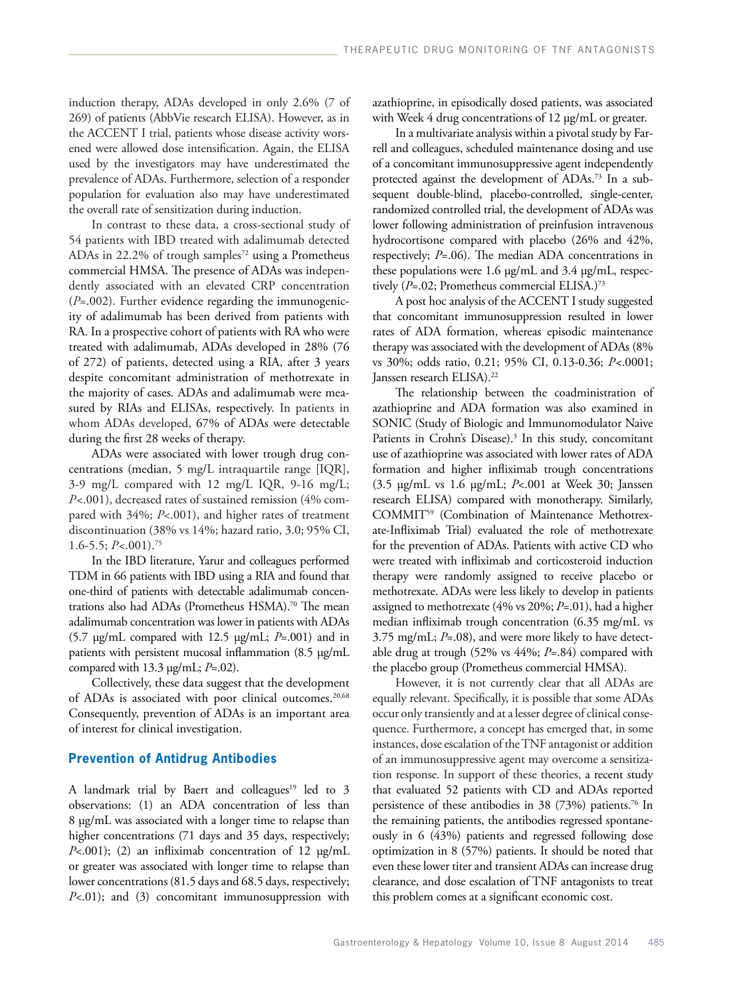induction therapy, ADAs developed in only 2.6% (7 of 269) of patients (AbbVie research ELISA). However, as in the ACCENT I trial, patients whose disease activity worsened were allowed dose intensification. Again, the ELISA used by the investigators may have underestimated the prevalence of ADAs. Furthermore, selection of a responder population for evaluation also may have underestimated the overall rate of sensitization during induction.

In contrast to these data, a cross-sectional study of 54 patients with IBD treated with adalimumab detected ADAs in 22.2% of trough samples<sup>72</sup> using a Prometheus commercial HMSA. The presence of ADAs was independently associated with an elevated CRP concentration (*P*=.002). Further evidence regarding the immunogenicity of adalimumab has been derived from patients with RA. In a prospective cohort of patients with RA who were treated with adalimumab, ADAs developed in 28% (76 of 272) of patients, detected using a RIA, after 3 years despite concomitant administration of methotrexate in the majority of cases. ADAs and adalimumab were measured by RIAs and ELISAs, respectively. In patients in whom ADAs developed, 67% of ADAs were detectable during the first 28 weeks of therapy.

ADAs were associated with lower trough drug concentrations (median, 5 mg/L intraquartile range [IQR], 3-9 mg/L compared with 12 mg/L IQR, 9-16 mg/L; *P<*.001), decreased rates of sustained remission (4% compared with 34%; *P*<.001), and higher rates of treatment discontinuation (38% vs 14%; hazard ratio, 3.0; 95% CI, 1.6-5.5; *P<*.001).75

In the IBD literature, Yarur and colleagues performed TDM in 66 patients with IBD using a RIA and found that one-third of patients with detectable adalimumab concentrations also had ADAs (Prometheus HSMA).<sup>70</sup> The mean adalimumab concentration was lower in patients with ADAs (5.7 µg/mL compared with 12.5 µg/mL; *P*=.001) and in patients with persistent mucosal inflammation (8.5 µg/mL compared with 13.3 µg/mL; *P*=.02).

Collectively, these data suggest that the development of ADAs is associated with poor clinical outcomes.<sup>20,68</sup> Consequently, prevention of ADAs is an important area of interest for clinical investigation.

# **Prevention of Antidrug Antibodies**

A landmark trial by Baert and colleagues<sup>19</sup> led to 3 observations: (1) an ADA concentration of less than 8 µg/mL was associated with a longer time to relapse than higher concentrations (71 days and 35 days, respectively; *P*<.001); (2) an infliximab concentration of 12 µg/mL or greater was associated with longer time to relapse than lower concentrations (81.5 days and 68.5 days, respectively; *P*<.01); and (3) concomitant immunosuppression with

azathioprine, in episodically dosed patients, was associated with Week 4 drug concentrations of 12 µg/mL or greater.

In a multivariate analysis within a pivotal study by Farrell and colleagues, scheduled maintenance dosing and use of a concomitant immunosuppressive agent independently protected against the development of ADAs.73 In a subsequent double-blind, placebo-controlled, single-center, randomized controlled trial, the development of ADAs was lower following administration of preinfusion intravenous hydrocortisone compared with placebo (26% and 42%, respectively; *P*=.06). The median ADA concentrations in these populations were 1.6 µg/mL and 3.4 µg/mL, respectively (P=.02; Prometheus commercial ELISA.)<sup>73</sup>

A post hoc analysis of the ACCENT I study suggested that concomitant immunosuppression resulted in lower rates of ADA formation, whereas episodic maintenance therapy was associated with the development of ADAs (8% vs 30%; odds ratio, 0.21; 95% CI, 0.13-0.36; *P<*.0001; Janssen research ELISA).<sup>22</sup>

The relationship between the coadministration of azathioprine and ADA formation was also examined in SONIC (Study of Biologic and Immunomodulator Naive Patients in Crohn's Disease).<sup>3</sup> In this study, concomitant use of azathioprine was associated with lower rates of ADA formation and higher infliximab trough concentrations (3.5 µg/mL vs 1.6 µg/mL; *P*<.001 at Week 30; Janssen research ELISA) compared with monotherapy. Similarly, COMMIT59 (Combination of Maintenance Methotrexate-Infliximab Trial) evaluated the role of methotrexate for the prevention of ADAs. Patients with active CD who were treated with infliximab and corticosteroid induction therapy were randomly assigned to receive placebo or methotrexate. ADAs were less likely to develop in patients assigned to methotrexate (4% vs 20%; *P*=.01), had a higher median infliximab trough concentration (6.35 mg/mL vs 3.75 mg/mL; *P*=.08), and were more likely to have detectable drug at trough (52% vs 44%; *P*=.84) compared with the placebo group (Prometheus commercial HMSA).

However, it is not currently clear that all ADAs are equally relevant. Specifically, it is possible that some ADAs occur only transiently and at a lesser degree of clinical consequence. Furthermore, a concept has emerged that, in some instances, dose escalation of the TNF antagonist or addition of an immunosuppressive agent may overcome a sensitization response. In support of these theories, a recent study that evaluated 52 patients with CD and ADAs reported persistence of these antibodies in 38 (73%) patients.76 In the remaining patients, the antibodies regressed spontaneously in 6 (43%) patients and regressed following dose optimization in 8 (57%) patients. It should be noted that even these lower titer and transient ADAs can increase drug clearance, and dose escalation of TNF antagonists to treat this problem comes at a significant economic cost.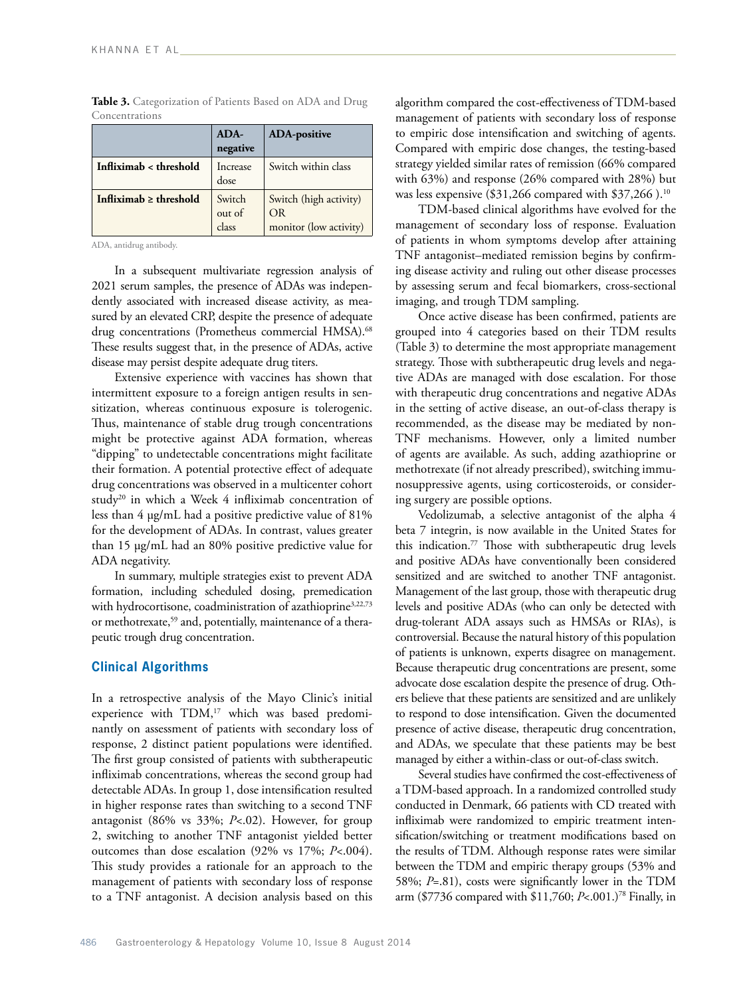|                             | ADA-<br>negative          | <b>ADA-positive</b>                                    |
|-----------------------------|---------------------------|--------------------------------------------------------|
| Infliximab < threshold      | Increase<br>dose          | Switch within class                                    |
| Infliximab $\geq$ threshold | Switch<br>out of<br>class | Switch (high activity)<br>OR<br>monitor (low activity) |

Table 3. Categorization of Patients Based on ADA and Drug Concentrations

ADA, antidrug antibody.

In a subsequent multivariate regression analysis of 2021 serum samples, the presence of ADAs was independently associated with increased disease activity, as measured by an elevated CRP, despite the presence of adequate drug concentrations (Prometheus commercial HMSA).<sup>68</sup> These results suggest that, in the presence of ADAs, active disease may persist despite adequate drug titers.

Extensive experience with vaccines has shown that intermittent exposure to a foreign antigen results in sensitization, whereas continuous exposure is tolerogenic. Thus, maintenance of stable drug trough concentrations might be protective against ADA formation, whereas "dipping" to undetectable concentrations might facilitate their formation. A potential protective effect of adequate drug concentrations was observed in a multicenter cohort study<sup>20</sup> in which a Week 4 infliximab concentration of less than 4 µg/mL had a positive predictive value of 81% for the development of ADAs. In contrast, values greater than 15 µg/mL had an 80% positive predictive value for ADA negativity.

In summary, multiple strategies exist to prevent ADA formation, including scheduled dosing, premedication with hydrocortisone, coadministration of azathioprine<sup>3,22,73</sup> or methotrexate,<sup>59</sup> and, potentially, maintenance of a therapeutic trough drug concentration.

# **Clinical Algorithms**

In a retrospective analysis of the Mayo Clinic's initial experience with TDM,<sup>17</sup> which was based predominantly on assessment of patients with secondary loss of response, 2 distinct patient populations were identified. The first group consisted of patients with subtherapeutic infliximab concentrations, whereas the second group had detectable ADAs. In group 1, dose intensification resulted in higher response rates than switching to a second TNF antagonist (86% vs 33%; *P*<.02). However, for group 2, switching to another TNF antagonist yielded better outcomes than dose escalation (92% vs 17%; *P*<.004). This study provides a rationale for an approach to the management of patients with secondary loss of response to a TNF antagonist. A decision analysis based on this

algorithm compared the cost-effectiveness of TDM-based management of patients with secondary loss of response to empiric dose intensification and switching of agents. Compared with empiric dose changes, the testing-based strategy yielded similar rates of remission (66% compared with 63%) and response (26% compared with 28%) but was less expensive (\$31,266 compared with \$37,266).<sup>10</sup>

TDM-based clinical algorithms have evolved for the management of secondary loss of response. Evaluation of patients in whom symptoms develop after attaining TNF antagonist–mediated remission begins by confirming disease activity and ruling out other disease processes by assessing serum and fecal biomarkers, cross-sectional imaging, and trough TDM sampling.

Once active disease has been confirmed, patients are grouped into 4 categories based on their TDM results (Table 3) to determine the most appropriate management strategy. Those with subtherapeutic drug levels and negative ADAs are managed with dose escalation. For those with therapeutic drug concentrations and negative ADAs in the setting of active disease, an out-of-class therapy is recommended, as the disease may be mediated by non-TNF mechanisms. However, only a limited number of agents are available. As such, adding azathioprine or methotrexate (if not already prescribed), switching immunosuppressive agents, using corticosteroids, or considering surgery are possible options.

Vedolizumab, a selective antagonist of the alpha 4 beta 7 integrin, is now available in the United States for this indication.77 Those with subtherapeutic drug levels and positive ADAs have conventionally been considered sensitized and are switched to another TNF antagonist. Management of the last group, those with therapeutic drug levels and positive ADAs (who can only be detected with drug-tolerant ADA assays such as HMSAs or RIAs), is controversial. Because the natural history of this population of patients is unknown, experts disagree on management. Because therapeutic drug concentrations are present, some advocate dose escalation despite the presence of drug. Others believe that these patients are sensitized and are unlikely to respond to dose intensification. Given the documented presence of active disease, therapeutic drug concentration, and ADAs, we speculate that these patients may be best managed by either a within-class or out-of-class switch.

Several studies have confirmed the cost-effectiveness of a TDM-based approach. In a randomized controlled study conducted in Denmark, 66 patients with CD treated with infliximab were randomized to empiric treatment intensification/switching or treatment modifications based on the results of TDM. Although response rates were similar between the TDM and empiric therapy groups (53% and 58%; *P*=.81), costs were significantly lower in the TDM arm (\$7736 compared with \$11,760; *P*<.001.)<sup>78</sup> Finally, in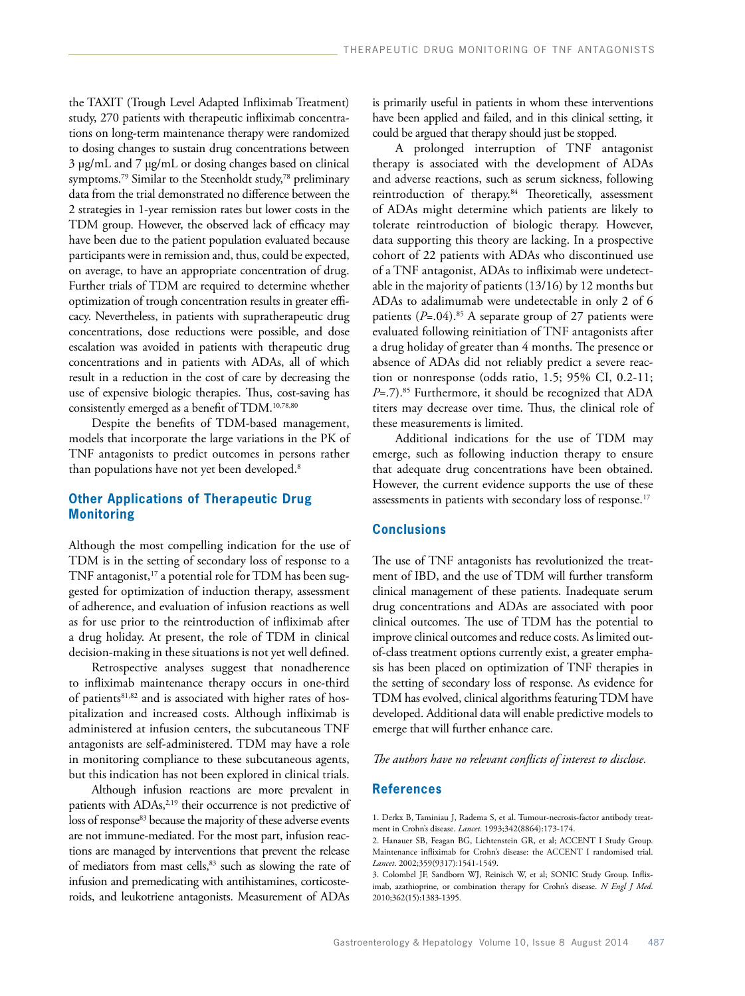the TAXIT (Trough Level Adapted Infliximab Treatment) study, 270 patients with therapeutic infliximab concentrations on long-term maintenance therapy were randomized to dosing changes to sustain drug concentrations between 3 µg/mL and 7 µg/mL or dosing changes based on clinical symptoms.<sup>79</sup> Similar to the Steenholdt study,<sup>78</sup> preliminary data from the trial demonstrated no difference between the 2 strategies in 1-year remission rates but lower costs in the TDM group. However, the observed lack of efficacy may have been due to the patient population evaluated because participants were in remission and, thus, could be expected, on average, to have an appropriate concentration of drug. Further trials of TDM are required to determine whether optimization of trough concentration results in greater efficacy. Nevertheless, in patients with supratherapeutic drug concentrations, dose reductions were possible, and dose escalation was avoided in patients with therapeutic drug concentrations and in patients with ADAs, all of which result in a reduction in the cost of care by decreasing the use of expensive biologic therapies. Thus, cost-saving has consistently emerged as a benefit of TDM.<sup>10,78,80</sup>

Despite the benefits of TDM-based management, models that incorporate the large variations in the PK of TNF antagonists to predict outcomes in persons rather than populations have not yet been developed.<sup>8</sup>

# **Other Applications of Therapeutic Drug Monitoring**

Although the most compelling indication for the use of TDM is in the setting of secondary loss of response to a TNF antagonist, $17$  a potential role for TDM has been suggested for optimization of induction therapy, assessment of adherence, and evaluation of infusion reactions as well as for use prior to the reintroduction of infliximab after a drug holiday. At present, the role of TDM in clinical decision-making in these situations is not yet well defined.

Retrospective analyses suggest that nonadherence to infliximab maintenance therapy occurs in one-third of patients<sup>81,82</sup> and is associated with higher rates of hospitalization and increased costs. Although infliximab is administered at infusion centers, the subcutaneous TNF antagonists are self-administered. TDM may have a role in monitoring compliance to these subcutaneous agents, but this indication has not been explored in clinical trials.

Although infusion reactions are more prevalent in patients with ADAs,<sup>2,19</sup> their occurrence is not predictive of loss of response<sup>83</sup> because the majority of these adverse events are not immune-mediated. For the most part, infusion reactions are managed by interventions that prevent the release of mediators from mast cells,<sup>83</sup> such as slowing the rate of infusion and premedicating with antihistamines, corticosteroids, and leukotriene antagonists. Measurement of ADAs

is primarily useful in patients in whom these interventions have been applied and failed, and in this clinical setting, it could be argued that therapy should just be stopped.

A prolonged interruption of TNF antagonist therapy is associated with the development of ADAs and adverse reactions, such as serum sickness, following reintroduction of therapy.<sup>84</sup> Theoretically, assessment of ADAs might determine which patients are likely to tolerate reintroduction of biologic therapy. However, data supporting this theory are lacking. In a prospective cohort of 22 patients with ADAs who discontinued use of a TNF antagonist, ADAs to infliximab were undetectable in the majority of patients (13/16) by 12 months but ADAs to adalimumab were undetectable in only 2 of 6 patients  $(P=.04).^{85}$  A separate group of 27 patients were evaluated following reinitiation of TNF antagonists after a drug holiday of greater than 4 months. The presence or absence of ADAs did not reliably predict a severe reaction or nonresponse (odds ratio, 1.5; 95% CI, 0.2-11; *P*=.7).<sup>85</sup> Furthermore, it should be recognized that ADA titers may decrease over time. Thus, the clinical role of these measurements is limited.

Additional indications for the use of TDM may emerge, such as following induction therapy to ensure that adequate drug concentrations have been obtained. However, the current evidence supports the use of these assessments in patients with secondary loss of response.<sup>17</sup>

# **Conclusions**

The use of TNF antagonists has revolutionized the treatment of IBD, and the use of TDM will further transform clinical management of these patients. Inadequate serum drug concentrations and ADAs are associated with poor clinical outcomes. The use of TDM has the potential to improve clinical outcomes and reduce costs. As limited outof-class treatment options currently exist, a greater emphasis has been placed on optimization of TNF therapies in the setting of secondary loss of response. As evidence for TDM has evolved, clinical algorithms featuring TDM have developed. Additional data will enable predictive models to emerge that will further enhance care.

## *The authors have no relevant conflicts of interest to disclose.*

### **References**

1. Derkx B, Taminiau J, Radema S, et al. Tumour-necrosis-factor antibody treatment in Crohn's disease. *Lancet*. 1993;342(8864):173-174.

<sup>2.</sup> Hanauer SB, Feagan BG, Lichtenstein GR, et al; ACCENT I Study Group. Maintenance infliximab for Crohn's disease: the ACCENT I randomised trial. *Lancet*. 2002;359(9317):1541-1549.

<sup>3.</sup> Colombel JF, Sandborn WJ, Reinisch W, et al; SONIC Study Group. Infliximab, azathioprine, or combination therapy for Crohn's disease. *N Engl J Med*. 2010;362(15):1383-1395.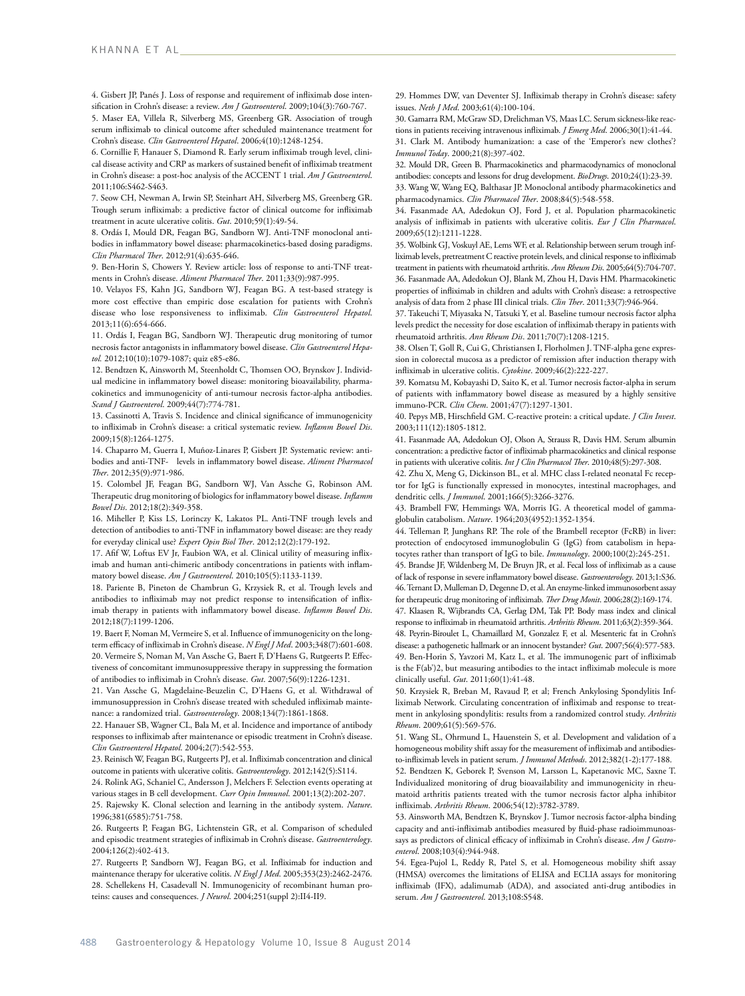4. Gisbert JP, Panés J. Loss of response and requirement of infliximab dose intensification in Crohn's disease: a review. *Am J Gastroenterol*. 2009;104(3):760-767.

5. Maser EA, Villela R, Silverberg MS, Greenberg GR. Association of trough serum infliximab to clinical outcome after scheduled maintenance treatment for Crohn's disease. *Clin Gastroenterol Hepatol*. 2006;4(10):1248-1254.

6. Cornillie F, Hanauer S, Diamond R. Early serum infliximab trough level, clinical disease activity and CRP as markers of sustained benefit of infliximab treatment in Crohn's disease: a post-hoc analysis of the ACCENT 1 trial. *Am J Gastroenterol*. 2011;106:S462-S463.

7. Seow CH, Newman A, Irwin SP, Steinhart AH, Silverberg MS, Greenberg GR. Trough serum infliximab: a predictive factor of clinical outcome for infliximab treatment in acute ulcerative colitis. *Gut*. 2010;59(1):49-54.

8. Ordás I, Mould DR, Feagan BG, Sandborn WJ. Anti-TNF monoclonal antibodies in inflammatory bowel disease: pharmacokinetics-based dosing paradigms. *Clin Pharmacol Ther*. 2012;91(4):635-646.

9. Ben-Horin S, Chowers Y. Review article: loss of response to anti-TNF treatments in Crohn's disease. *Aliment Pharmacol Ther*. 2011;33(9):987-995.

10. Velayos FS, Kahn JG, Sandborn WJ, Feagan BG. A test-based strategy is more cost effective than empiric dose escalation for patients with Crohn's disease who lose responsiveness to infliximab. *Clin Gastroenterol Hepatol*. 2013;11(6):654-666.

11. Ordás I, Feagan BG, Sandborn WJ. Therapeutic drug monitoring of tumor necrosis factor antagonists in inflammatory bowel disease. *Clin Gastroenterol Hepatol.* 2012;10(10):1079-1087; quiz e85-e86.

12. Bendtzen K, Ainsworth M, Steenholdt C, Thomsen OO, Brynskov J. Individual medicine in inflammatory bowel disease: monitoring bioavailability, pharmacokinetics and immunogenicity of anti-tumour necrosis factor-alpha antibodies. *Scand J Gastroenterol*. 2009;44(7):774-781.

13. Cassinotti A, Travis S. Incidence and clinical significance of immunogenicity to infliximab in Crohn's disease: a critical systematic review. *Inflamm Bowel Dis*. 2009;15(8):1264-1275.

14. Chaparro M, Guerra I, Muñoz-Linares P, Gisbert JP. Systematic review: antibodies and anti-TNF-α levels in inflammatory bowel disease. *Aliment Pharmacol Ther*. 2012;35(9):971-986.

15. Colombel JF, Feagan BG, Sandborn WJ, Van Assche G, Robinson AM. Therapeutic drug monitoring of biologics for inflammatory bowel disease. *Inflamm Bowel Dis*. 2012;18(2):349-358.

16. Miheller P, Kiss LS, Lorinczy K, Lakatos PL. Anti-TNF trough levels and detection of antibodies to anti-TNF in inflammatory bowel disease: are they ready for everyday clinical use? *Expert Opin Biol Ther*. 2012;12(2):179-192.

17. Afif W, Loftus EV Jr, Faubion WA, et al. Clinical utility of measuring infliximab and human anti-chimeric antibody concentrations in patients with inflammatory bowel disease. *Am J Gastroenterol*. 2010;105(5):1133-1139.

18. Pariente B, Pineton de Chambrun G, Krzysiek R, et al. Trough levels and antibodies to infliximab may not predict response to intensification of infliximab therapy in patients with inflammatory bowel disease. *Inflamm Bowel Dis*. 2012;18(7):1199-1206.

19. Baert F, Noman M, Vermeire S, et al. Influence of immunogenicity on the longterm efficacy of infliximab in Crohn's disease. *N Engl J Med*. 2003;348(7):601-608. 20. Vermeire S, Noman M, Van Assche G, Baert F, D'Haens G, Rutgeerts P. Effectiveness of concomitant immunosuppressive therapy in suppressing the formation of antibodies to infliximab in Crohn's disease. *Gut*. 2007;56(9):1226-1231.

21. Van Assche G, Magdelaine-Beuzelin C, D'Haens G, et al. Withdrawal of immunosuppression in Crohn's disease treated with scheduled infliximab maintenance: a randomized trial. *Gastroenterology*. 2008;134(7):1861-1868.

22. Hanauer SB, Wagner CL, Bala M, et al. Incidence and importance of antibody responses to infliximab after maintenance or episodic treatment in Crohn's disease. *Clin Gastroenterol Hepatol*. 2004;2(7):542-553.

23. Reinisch W, Feagan BG, Rutgeerts PJ, et al. Infliximab concentration and clinical outcome in patients with ulcerative colitis. *Gastroenterology*. 2012;142(5):S114.

24. Rolink AG, Schaniel C, Andersson J, Melchers F. Selection events operating at various stages in B cell development. *Curr Opin Immunol*. 2001;13(2):202-207. 25. Rajewsky K. Clonal selection and learning in the antibody system. *Nature*. 1996;381(6585):751-758.

26. Rutgeerts P, Feagan BG, Lichtenstein GR, et al. Comparison of scheduled and episodic treatment strategies of infliximab in Crohn's disease. *Gastroenterology*. 2004;126(2):402-413.

27. Rutgeerts P, Sandborn WJ, Feagan BG, et al. Infliximab for induction and maintenance therapy for ulcerative colitis. *N Engl J Med*. 2005;353(23):2462-2476. 28. Schellekens H, Casadevall N. Immunogenicity of recombinant human proteins: causes and consequences. *J Neurol*. 2004;251(suppl 2):II4-II9.

29. Hommes DW, van Deventer SJ. Infliximab therapy in Crohn's disease: safety issues. *Neth J Med*. 2003;61(4):100-104.

30. Gamarra RM, McGraw SD, Drelichman VS, Maas LC. Serum sickness-like reactions in patients receiving intravenous infliximab. *J Emerg Med*. 2006;30(1):41-44. 31. Clark M. Antibody humanization: a case of the 'Emperor's new clothes'? *Immunol Today*. 2000;21(8):397-402.

32. Mould DR, Green B. Pharmacokinetics and pharmacodynamics of monoclonal antibodies: concepts and lessons for drug development. *BioDrugs*. 2010;24(1):23-39. 33. Wang W, Wang EQ, Balthasar JP. Monoclonal antibody pharmacokinetics and pharmacodynamics. *Clin Pharmacol Ther*. 2008;84(5):548-558.

34. Fasanmade AA, Adedokun OJ, Ford J, et al. Population pharmacokinetic analysis of infliximab in patients with ulcerative colitis. *Eur J Clin Pharmacol*. 2009;65(12):1211-1228.

35. Wolbink GJ, Voskuyl AE, Lems WF, et al. Relationship between serum trough infliximab levels, pretreatment C reactive protein levels, and clinical response to infliximab treatment in patients with rheumatoid arthritis. *Ann Rheum Dis*. 2005;64(5):704-707. 36. Fasanmade AA, Adedokun OJ, Blank M, Zhou H, Davis HM. Pharmacokinetic properties of infliximab in children and adults with Crohn's disease: a retrospective analysis of data from 2 phase III clinical trials. *Clin Ther*. 2011;33(7):946-964.

37. Takeuchi T, Miyasaka N, Tatsuki Y, et al. Baseline tumour necrosis factor alpha levels predict the necessity for dose escalation of infliximab therapy in patients with rheumatoid arthritis. *Ann Rheum Dis*. 2011;70(7):1208-1215.

38. Olsen T, Goll R, Cui G, Christiansen I, Florholmen J. TNF-alpha gene expression in colorectal mucosa as a predictor of remission after induction therapy with infliximab in ulcerative colitis. *Cytokine*. 2009;46(2):222-227.

39. Komatsu M, Kobayashi D, Saito K, et al. Tumor necrosis factor-alpha in serum of patients with inflammatory bowel disease as measured by a highly sensitive immuno-PCR. *Clin Chem*. 2001;47(7):1297-1301.

40. Pepys MB, Hirschfield GM. C-reactive protein: a critical update. *J Clin Invest*. 2003;111(12):1805-1812.

41. Fasanmade AA, Adedokun OJ, Olson A, Strauss R, Davis HM. Serum albumin concentration: a predictive factor of infliximab pharmacokinetics and clinical response in patients with ulcerative colitis. *Int J Clin Pharmacol Ther*. 2010;48(5):297-308.

42. Zhu X, Meng G, Dickinson BL, et al. MHC class I-related neonatal Fc receptor for IgG is functionally expressed in monocytes, intestinal macrophages, and dendritic cells. *J Immunol*. 2001;166(5):3266-3276.

43. Brambell FW, Hemmings WA, Morris IG. A theoretical model of gammaglobulin catabolism. *Nature*. 1964;203(4952):1352-1354.

44. Telleman P, Junghans RP. The role of the Brambell receptor (FcRB) in liver: protection of endocytosed immunoglobulin G (IgG) from catabolism in hepatocytes rather than transport of IgG to bile. *Immunology*. 2000;100(2):245-251.

45. Brandse JF, Wildenberg M, De Bruyn JR, et al. Fecal loss of infliximab as a cause of lack of response in severe inflammatory bowel disease. *Gastroenterology*. 2013;1:S36. 46. Ternant D, Mulleman D, Degenne D, et al. An enzyme-linked immunosorbent assay for therapeutic drug monitoring of infliximab. *Ther Drug Monit*. 2006;28(2):169-174.

47. Klaasen R, Wijbrandts CA, Gerlag DM, Tak PP. Body mass index and clinical response to infliximab in rheumatoid arthritis. *Arthritis Rheum*. 2011;63(2):359-364. 48. Peyrin-Biroulet L, Chamaillard M, Gonzalez F, et al. Mesenteric fat in Crohn's disease: a pathogenetic hallmark or an innocent bystander? *Gut*. 2007;56(4):577-583. 49. Ben-Horin S, Yavzori M, Katz L, et al. The immunogenic part of infliximab

is the F(ab')2, but measuring antibodies to the intact infliximab molecule is more clinically useful. *Gut*. 2011;60(1):41-48. 50. Krzysiek R, Breban M, Ravaud P, et al; French Ankylosing Spondylitis Inf-

liximab Network. Circulating concentration of infliximab and response to treatment in ankylosing spondylitis: results from a randomized control study. *Arthritis Rheum*. 2009;61(5):569-576.

51. Wang SL, Ohrmund L, Hauenstein S, et al. Development and validation of a homogeneous mobility shift assay for the measurement of infliximab and antibodiesto-infliximab levels in patient serum. *J Immunol Methods*. 2012;382(1-2):177-188.

52. Bendtzen K, Geborek P, Svenson M, Larsson L, Kapetanovic MC, Saxne T. Individualized monitoring of drug bioavailability and immunogenicity in rheumatoid arthritis patients treated with the tumor necrosis factor alpha inhibitor infliximab. *Arthritis Rheum*. 2006;54(12):3782-3789.

53. Ainsworth MA, Bendtzen K, Brynskov J. Tumor necrosis factor-alpha binding capacity and anti-infliximab antibodies measured by fluid-phase radioimmunoassays as predictors of clinical efficacy of infliximab in Crohn's disease. *Am J Gastroenterol*. 2008;103(4):944-948.

54. Egea-Pujol L, Reddy R, Patel S, et al. Homogeneous mobility shift assay (HMSA) overcomes the limitations of ELISA and ECLIA assays for monitoring infliximab (IFX), adalimumab (ADA), and associated anti-drug antibodies in serum. *Am J Gastroenterol*. 2013;108:S548.